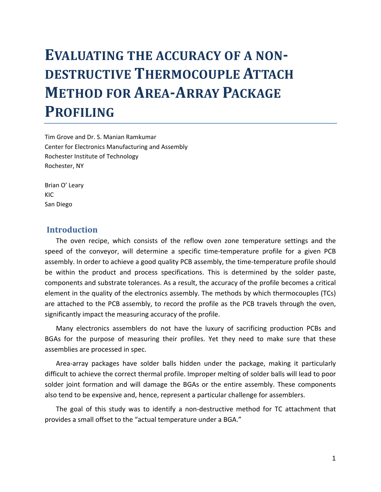# **EVALUATING THE ACCURACY OF A NON-DESTRUCTIVE THERMOCOUPLE ATTACH METHOD FOR AREAARRAY PACKAGE PROFILING**

Tim Grove and Dr. S. Manian Ramkumar Center for Electronics Manufacturing and Assembly Rochester Institute of Technology Rochester, NY

Brian O' Leary KIC San Diego

#### **Introduction**

The oven recipe, which consists of the reflow oven zone temperature settings and the speed of the conveyor, will determine a specific time-temperature profile for a given PCB assembly. In order to achieve a good quality PCB assembly, the time‐temperature profile should be within the product and process specifications. This is determined by the solder paste, components and substrate tolerances. As a result, the accuracy of the profile becomes a critical element in the quality of the electronics assembly. The methods by which thermocouples (TCs) are attached to the PCB assembly, to record the profile as the PCB travels through the oven, significantly impact the measuring accuracy of the profile.

Many electronics assemblers do not have the luxury of sacrificing production PCBs and BGAs for the purpose of measuring their profiles. Yet they need to make sure that these assemblies are processed in spec.

Area‐array packages have solder balls hidden under the package, making it particularly difficult to achieve the correct thermal profile. Improper melting of solder balls will lead to poor solder joint formation and will damage the BGAs or the entire assembly. These components also tend to be expensive and, hence, represent a particular challenge for assemblers.

The goal of this study was to identify a non-destructive method for TC attachment that provides a small offset to the "actual temperature under a BGA."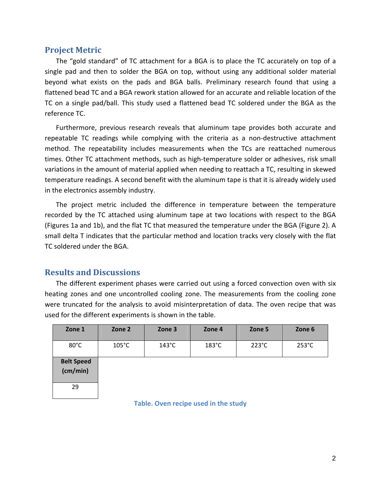### **Project Metric**

The "gold standard" of TC attachment for a BGA is to place the TC accurately on top of a single pad and then to solder the BGA on top, without using any additional solder material beyond what exists on the pads and BGA balls. Preliminary research found that using a flattened bead TC and a BGA rework station allowed for an accurate and reliable location of the TC on a single pad/ball. This study used a flattened bead TC soldered under the BGA as the reference TC.

Furthermore, previous research reveals that aluminum tape provides both accurate and repeatable TC readings while complying with the criteria as a non-destructive attachment method. The repeatability includes measurements when the TCs are reattached numerous times. Other TC attachment methods, such as high-temperature solder or adhesives, risk small variations in the amount of material applied when needing to reattach a TC, resulting in skewed temperature readings. A second benefit with the aluminum tape is that it is already widely used in the electronics assembly industry.

The project metric included the difference in temperature between the temperature recorded by the TC attached using aluminum tape at two locations with respect to the BGA (Figures 1a and 1b), and the flat TC that measured the temperature under the BGA (Figure 2). A small delta T indicates that the particular method and location tracks very closely with the flat TC soldered under the BGA.

## **Results and Discussions**

The different experiment phases were carried out using a forced convection oven with six heating zones and one uncontrolled cooling zone. The measurements from the cooling zone were truncated for the analysis to avoid misinterpretation of data. The oven recipe that was used for the different experiments is shown in the table.

| Zone 1                        | Zone 2          | Zone 3          | Zone 4          | Zone 5          | Zone 6          |
|-------------------------------|-----------------|-----------------|-----------------|-----------------|-----------------|
| $80^{\circ}$ C                | $105^{\circ}$ C | $143^{\circ}$ C | $183^{\circ}$ C | $223^{\circ}$ C | $253^{\circ}$ C |
| <b>Belt Speed</b><br>(cm/min) |                 |                 |                 |                 |                 |
| 29                            |                 |                 |                 |                 |                 |

**Table. Oven recipe used in the study**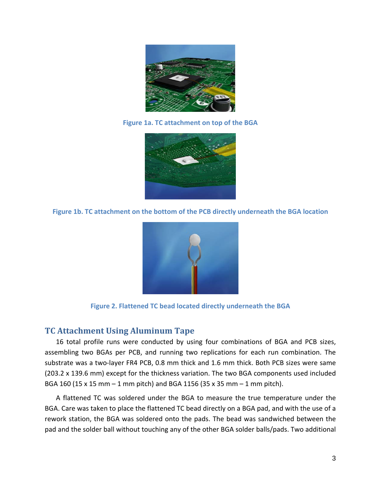

**Figure 1a. TC attachment on top of the BGA**



**Figure 1b. TC attachment on the bottom of the PCB directly underneath the BGA location**



**Figure 2. Flattened TC bead located directly underneath the BGA**

## **TC Attachment Using Aluminum Tape**

16 total profile runs were conducted by using four combinations of BGA and PCB sizes, assembling two BGAs per PCB, and running two replications for each run combination. The substrate was a two‐layer FR4 PCB, 0.8 mm thick and 1.6 mm thick. Both PCB sizes were same (203.2 x 139.6 mm) except for the thickness variation. The two BGA components used included BGA 160 (15 x 15 mm – 1 mm pitch) and BGA 1156 (35 x 35 mm – 1 mm pitch).

A flattened TC was soldered under the BGA to measure the true temperature under the BGA. Care was taken to place the flattened TC bead directly on a BGA pad, and with the use of a rework station, the BGA was soldered onto the pads. The bead was sandwiched between the pad and the solder ball without touching any of the other BGA solder balls/pads. Two additional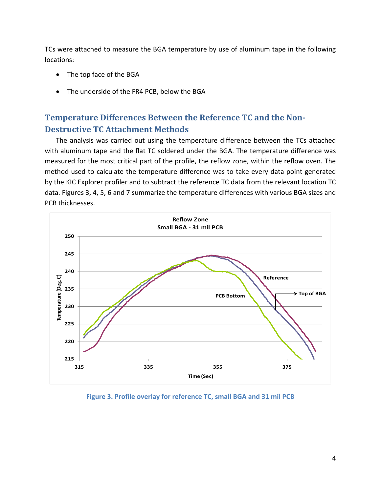TCs were attached to measure the BGA temperature by use of aluminum tape in the following locations:

- The top face of the BGA
- The underside of the FR4 PCB, below the BGA

## **Temperature Differences Between the Reference TC and the Non-Destructive TC Attachment Methods**

The analysis was carried out using the temperature difference between the TCs attached with aluminum tape and the flat TC soldered under the BGA. The temperature difference was measured for the most critical part of the profile, the reflow zone, within the reflow oven. The method used to calculate the temperature difference was to take every data point generated by the KIC Explorer profiler and to subtract the reference TC data from the relevant location TC data. Figures 3, 4, 5, 6 and 7 summarize the temperature differences with various BGA sizes and PCB thicknesses.



**Figure 3. Profile overlay for reference TC, small BGA and 31 mil PCB**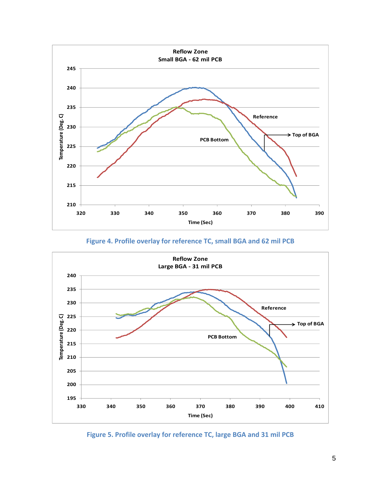

#### **Figure 4. Profile overlay for reference TC, small BGA and 62 mil PCB**



**Figure 5. Profile overlay for reference TC, large BGA and 31 mil PCB**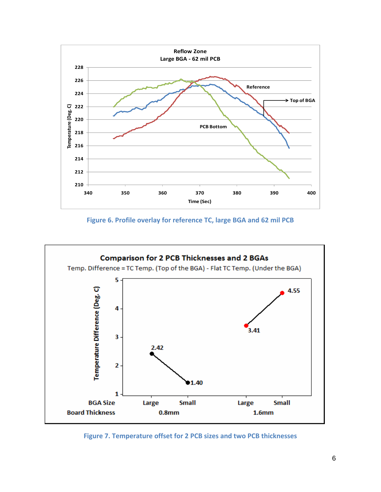

**Figure 6. Profile overlay for reference TC, large BGA and 62 mil PCB**



**Figure 7. Temperature offset for 2 PCB sizes and two PCB thicknesses**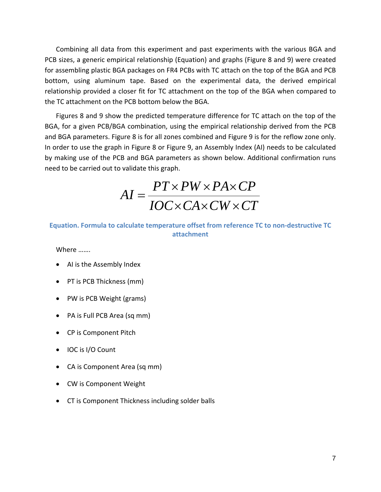Combining all data from this experiment and past experiments with the various BGA and PCB sizes, a generic empirical relationship (Equation) and graphs (Figure 8 and 9) were created for assembling plastic BGA packages on FR4 PCBs with TC attach on the top of the BGA and PCB bottom, using aluminum tape. Based on the experimental data, the derived empirical relationship provided a closer fit for TC attachment on the top of the BGA when compared to the TC attachment on the PCB bottom below the BGA.

Figures 8 and 9 show the predicted temperature difference for TC attach on the top of the BGA, for a given PCB/BGA combination, using the empirical relationship derived from the PCB and BGA parameters. Figure 8 is for all zones combined and Figure 9 is for the reflow zone only. In order to use the graph in Figure 8 or Figure 9, an Assembly Index (AI) needs to be calculated by making use of the PCB and BGA parameters as shown below. Additional confirmation runs need to be carried out to validate this graph.

*IOC CA CW CT PT PW PA CP AI*  $\times$  CA  $\times$  CW  $\times$  $\times PW \times PA \times$  $=$ 

#### **Equation. Formula to calculate temperature offset from reference TC to non‐destructive TC attachment**

Where …….

- AI is the Assembly Index
- PT is PCB Thickness (mm)
- PW is PCB Weight (grams)
- PA is Full PCB Area (sq mm)
- CP is Component Pitch
- IOC is I/O Count
- CA is Component Area (sq mm)
- CW is Component Weight
- CT is Component Thickness including solder balls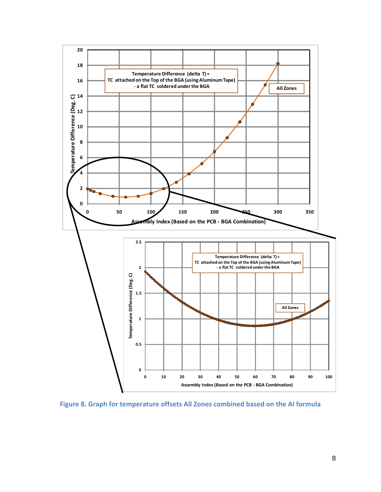

**Figure 8. Graph for temperature offsets All Zones combined based on the AI formula**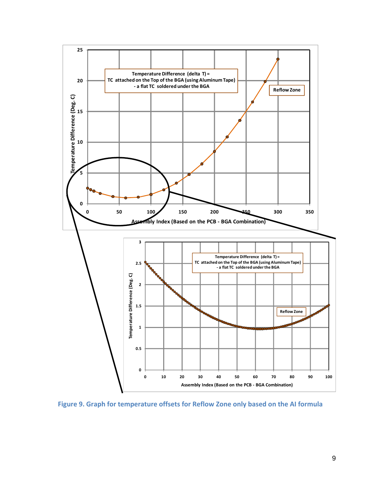

**Figure 9. Graph for temperature offsets for Reflow Zone only based on the AI formula**